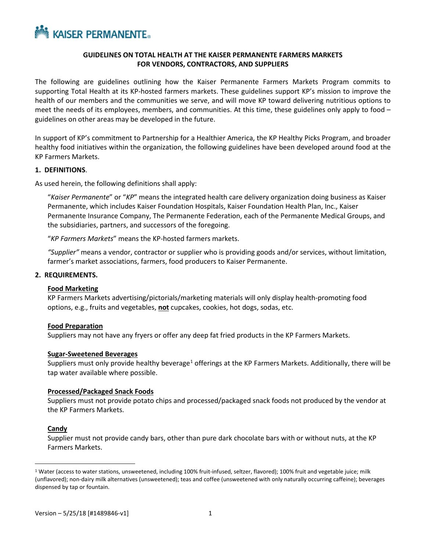

# **GUIDELINES ON TOTAL HEALTH AT THE KAISER PERMANENTE FARMERS MARKETS FOR VENDORS, CONTRACTORS, AND SUPPLIERS**

The following are guidelines outlining how the Kaiser Permanente Farmers Markets Program commits to supporting Total Health at its KP-hosted farmers markets. These guidelines support KP's mission to improve the health of our members and the communities we serve, and will move KP toward delivering nutritious options to meet the needs of its employees, members, and communities. At this time, these guidelines only apply to food – guidelines on other areas may be developed in the future.

In support of KP's commitment to Partnership for a Healthier America, the KP Healthy Picks Program, and broader healthy food initiatives within the organization, the following guidelines have been developed around food at the KP Farmers Markets.

## **1. DEFINITIONS**.

As used herein, the following definitions shall apply:

"*Kaiser Permanente*" or "*KP*" means the integrated health care delivery organization doing business as Kaiser Permanente, which includes Kaiser Foundation Hospitals, Kaiser Foundation Health Plan, Inc., Kaiser Permanente Insurance Company, The Permanente Federation, each of the Permanente Medical Groups, and the subsidiaries, partners, and successors of the foregoing.

"*KP Farmers Markets*" means the KP-hosted farmers markets.

*"Supplier"* means a vendor, contractor or supplier who is providing goods and/or services, without limitation, farmer's market associations, farmers, food producers to Kaiser Permanente.

#### **2. REQUIREMENTS.**

## **Food Marketing**

KP Farmers Markets advertising/pictorials/marketing materials will only display health-promoting food options, e.g., fruits and vegetables, **not** cupcakes, cookies, hot dogs, sodas, etc.

#### **Food Preparation**

Suppliers may not have any fryers or offer any deep fat fried products in the KP Farmers Markets.

#### **Sugar-Sweetened Beverages**

Suppliers must only provide healthy beverage<sup>[1](#page-0-0)</sup> offerings at the KP Farmers Markets. Additionally, there will be tap water available where possible.

#### **Processed/Packaged Snack Foods**

Suppliers must not provide potato chips and processed/packaged snack foods not produced by the vendor at the KP Farmers Markets.

## **Candy**

Supplier must not provide candy bars, other than pure dark chocolate bars with or without nuts, at the KP Farmers Markets.

<span id="page-0-0"></span><sup>&</sup>lt;sup>1</sup> Water (access to water stations, unsweetened, including 100% fruit-infused, seltzer, flavored); 100% fruit and vegetable juice; milk (unflavored); non-dairy milk alternatives (unsweetened); teas and coffee (unsweetened with only naturally occurring caffeine); beverages dispensed by tap or fountain.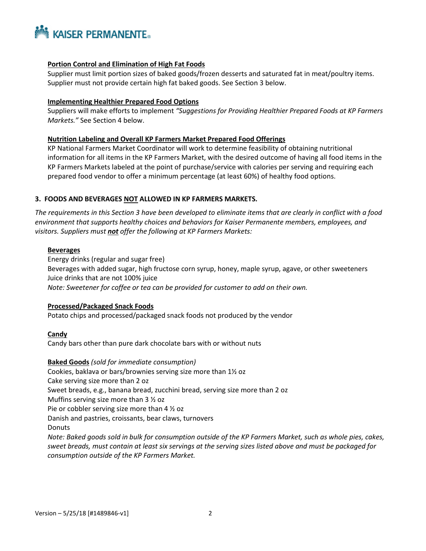

## **Portion Control and Elimination of High Fat Foods**

Supplier must limit portion sizes of baked goods/frozen desserts and saturated fat in meat/poultry items. Supplier must not provide certain high fat baked goods. See Section 3 below.

## **Implementing Healthier Prepared Food Options**

Suppliers will make efforts to implement *"Suggestions for Providing Healthier Prepared Foods at KP Farmers Markets."* See Section 4 below.

## **Nutrition Labeling and Overall KP Farmers Market Prepared Food Offerings**

KP National Farmers Market Coordinator will work to determine feasibility of obtaining nutritional information for all items in the KP Farmers Market, with the desired outcome of having all food items in the KP Farmers Markets labeled at the point of purchase/service with calories per serving and requiring each prepared food vendor to offer a minimum percentage (at least 60%) of healthy food options.

# **3. FOODS AND BEVERAGES NOT ALLOWED IN KP FARMERS MARKETS.**

*The requirements in this Section 3 have been developed to eliminate items that are clearly in conflict with a food environment that supports healthy choices and behaviors for Kaiser Permanente members, employees, and visitors. Suppliers must not offer the following at KP Farmers Markets:*

## **Beverages**

Energy drinks (regular and sugar free) Beverages with added sugar, high fructose corn syrup, honey, maple syrup, agave, or other sweeteners Juice drinks that are not 100% juice *Note: Sweetener for coffee or tea can be provided for customer to add on their own.*

## **Processed/Packaged Snack Foods**

Potato chips and processed/packaged snack foods not produced by the vendor

## **Candy**

Candy bars other than pure dark chocolate bars with or without nuts

## **Baked Goods** *(sold for immediate consumption)*

Cookies, baklava or bars/brownies serving size more than 1½ oz Cake serving size more than 2 oz Sweet breads, e.g., banana bread, zucchini bread, serving size more than 2 oz Muffins serving size more than 3 ½ oz Pie or cobbler serving size more than 4 ½ oz Danish and pastries, croissants, bear claws, turnovers Donuts *Note: Baked goods sold in bulk for consumption outside of the KP Farmers Market, such as whole pies, cakes, sweet breads, must contain at least six servings at the serving sizes listed above and must be packaged for consumption outside of the KP Farmers Market.*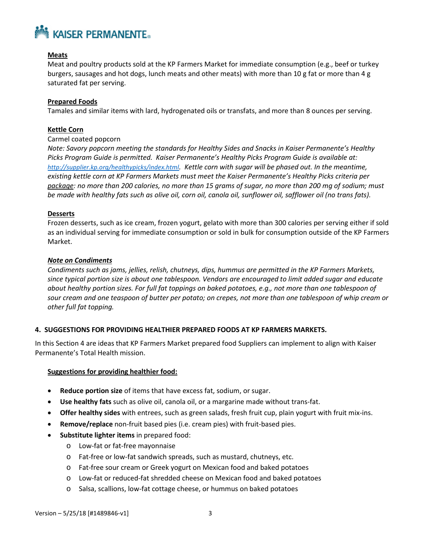

# **Meats**

Meat and poultry products sold at the KP Farmers Market for immediate consumption (e.g., beef or turkey burgers, sausages and hot dogs, lunch meats and other meats) with more than 10 g fat or more than 4 g saturated fat per serving.

## **Prepared Foods**

Tamales and similar items with lard, hydrogenated oils or transfats, and more than 8 ounces per serving.

## **Kettle Corn**

## Carmel coated popcorn

*Note: Savory popcorn meeting the standards for Healthy Sides and Snacks in Kaiser Permanente's Healthy Picks Program Guide is permitted. Kaiser Permanente's Healthy Picks Program Guide is available at: [http://supplier.kp.org/healthypicks/index.html.](http://supplier.kp.org/healthypicks/index.html) Kettle corn with sugar will be phased out. In the meantime, existing kettle corn at KP Farmers Markets must meet the Kaiser Permanente's Healthy Picks criteria per package: no more than 200 calories, no more than 15 grams of sugar, no more than 200 mg of sodium; must be made with healthy fats such as olive oil, corn oil, canola oil, sunflower oil, safflower oil (no trans fats).* 

## **Desserts**

Frozen desserts, such as ice cream, frozen yogurt, gelato with more than 300 calories per serving either if sold as an individual serving for immediate consumption or sold in bulk for consumption outside of the KP Farmers Market.

## *Note on Condiments*

*Condiments such as jams, jellies, relish, chutneys, dips, hummus are permitted in the KP Farmers Markets, since typical portion size is about one tablespoon. Vendors are encouraged to limit added sugar and educate about healthy portion sizes. For full fat toppings on baked potatoes, e.g., not more than one tablespoon of sour cream and one teaspoon of butter per potato; on crepes, not more than one tablespoon of whip cream or other full fat topping.*

# **4. SUGGESTIONS FOR PROVIDING HEALTHIER PREPARED FOODS AT KP FARMERS MARKETS.**

In this Section 4 are ideas that KP Farmers Market prepared food Suppliers can implement to align with Kaiser Permanente's Total Health mission.

## **Suggestions for providing healthier food:**

- **Reduce portion size** of items that have excess fat, sodium, or sugar.
- **Use healthy fats** such as olive oil, canola oil, or a margarine made without trans-fat.
- **Offer healthy sides** with entrees, such as green salads, fresh fruit cup, plain yogurt with fruit mix-ins.
- **Remove/replace** non-fruit based pies (i.e. cream pies) with fruit-based pies.
- **Substitute lighter items** in prepared food:
	- o Low-fat or fat-free mayonnaise
	- o Fat-free or low-fat sandwich spreads, such as mustard, chutneys, etc.
	- o Fat-free sour cream or Greek yogurt on Mexican food and baked potatoes
	- o Low-fat or reduced-fat shredded cheese on Mexican food and baked potatoes
	- o Salsa, scallions, low-fat cottage cheese, or hummus on baked potatoes